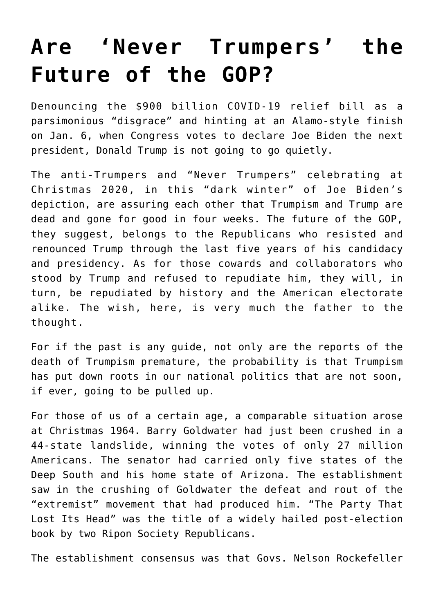## **[Are 'Never Trumpers' the](https://intellectualtakeout.org/2020/12/are-never-trumpers-the-future-of-the-gop/) [Future of the GOP?](https://intellectualtakeout.org/2020/12/are-never-trumpers-the-future-of-the-gop/)**

Denouncing the \$900 billion COVID-19 relief bill as a parsimonious "disgrace" and hinting at an Alamo-style finish on Jan. 6, when Congress votes to declare Joe Biden the next president, Donald Trump is not going to go quietly.

The anti-Trumpers and "Never Trumpers" celebrating at Christmas 2020, in this "dark winter" of Joe Biden's depiction, are assuring each other that Trumpism and Trump are dead and gone for good in four weeks. The future of the GOP, they suggest, belongs to the Republicans who resisted and renounced Trump through the last five years of his candidacy and presidency. As for those cowards and collaborators who stood by Trump and refused to repudiate him, they will, in turn, be repudiated by history and the American electorate alike. The wish, here, is very much the father to the thought.

For if the past is any guide, not only are the reports of the death of Trumpism premature, the probability is that Trumpism has put down roots in our national politics that are not soon, if ever, going to be pulled up.

For those of us of a certain age, a comparable situation arose at Christmas 1964. Barry Goldwater had just been crushed in a 44-state landslide, winning the votes of only 27 million Americans. The senator had carried only five states of the Deep South and his home state of Arizona. The establishment saw in the crushing of Goldwater the defeat and rout of the "extremist" movement that had produced him. "The Party That Lost Its Head" was the title of a widely hailed post-election book by two Ripon Society Republicans.

The establishment consensus was that Govs. Nelson Rockefeller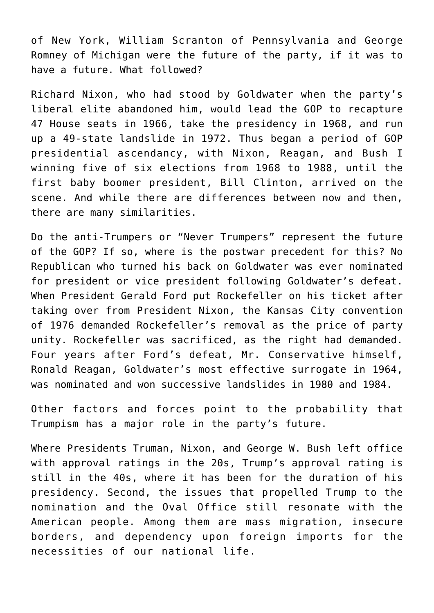of New York, William Scranton of Pennsylvania and George Romney of Michigan were the future of the party, if it was to have a future. What followed?

Richard Nixon, who had stood by Goldwater when the party's liberal elite abandoned him, would lead the GOP to recapture 47 House seats in 1966, take the presidency in 1968, and run up a 49-state landslide in 1972. Thus began a period of GOP presidential ascendancy, with Nixon, Reagan, and Bush I winning five of six elections from 1968 to 1988, until the first baby boomer president, Bill Clinton, arrived on the scene. And while there are differences between now and then, there are many similarities.

Do the anti-Trumpers or "Never Trumpers" represent the future of the GOP? If so, where is the postwar precedent for this? No Republican who turned his back on Goldwater was ever nominated for president or vice president following Goldwater's defeat. When President Gerald Ford put Rockefeller on his ticket after taking over from President Nixon, the Kansas City convention of 1976 demanded Rockefeller's removal as the price of party unity. Rockefeller was sacrificed, as the right had demanded. Four years after Ford's defeat, Mr. Conservative himself, Ronald Reagan, Goldwater's most effective surrogate in 1964, was nominated and won successive landslides in 1980 and 1984.

Other factors and forces point to the probability that Trumpism has a major role in the party's future.

Where Presidents Truman, Nixon, and George W. Bush left office with approval ratings in the 20s, Trump's approval rating is still in the 40s, where it has been for the duration of his presidency. Second, the issues that propelled Trump to the nomination and the Oval Office still resonate with the American people. Among them are mass migration, insecure borders, and dependency upon foreign imports for the necessities of our national life.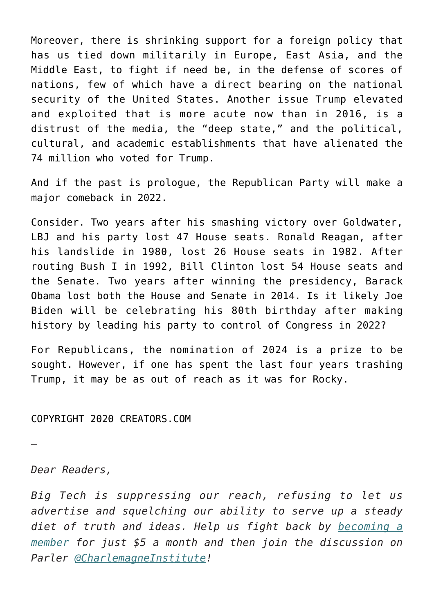Moreover, there is shrinking support for a foreign policy that has us tied down militarily in Europe, East Asia, and the Middle East, to fight if need be, in the defense of scores of nations, few of which have a direct bearing on the national security of the United States. Another issue Trump elevated and exploited that is more acute now than in 2016, is a distrust of the media, the "deep state," and the political, cultural, and academic establishments that have alienated the 74 million who voted for Trump.

And if the past is prologue, the Republican Party will make a major comeback in 2022.

Consider. Two years after his smashing victory over Goldwater, LBJ and his party lost 47 House seats. Ronald Reagan, after his landslide in 1980, lost 26 House seats in 1982. After routing Bush I in 1992, Bill Clinton lost 54 House seats and the Senate. Two years after winning the presidency, Barack Obama lost both the House and Senate in 2014. Is it likely Joe Biden will be celebrating his 80th birthday after making history by leading his party to control of Congress in 2022?

For Republicans, the nomination of 2024 is a prize to be sought. However, if one has spent the last four years trashing Trump, it may be as out of reach as it was for Rocky.

COPYRIGHT 2020 CREATORS.COM

—

*Dear Readers,*

*Big Tech is suppressing our reach, refusing to let us advertise and squelching our ability to serve up a steady diet of truth and ideas. Help us fight back by [becoming a](https://www.chroniclesmagazine.org/subscribe/) [member](https://www.chroniclesmagazine.org/subscribe/) for just \$5 a month and then join the discussion on Parler [@CharlemagneInstitute!](https://parler.com/profile/CharlemagneInstitute)*